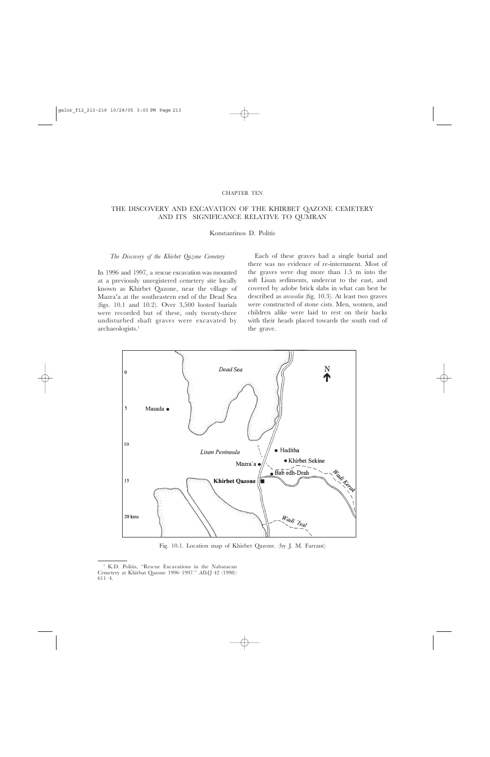## CHAPTER TEN

## THE DISCOVERY AND EXCAVATION OF THE KHIRBET QAZONE CEMETERY AND ITS SIGNIFICANCE RELATIVE TO QUMRAN

Konstantinos D. Politis

*The Discovery of the Khirbet Qazone Cemetery*

In 1996 and 1997, a rescue excavation was mounted at a previously unregistered cemetery site locally known as Khirbet Qazone, near the village of Mazra'a at the southeastern end of the Dead Sea (figs. 10.1 and 10.2). Over 3,500 looted burials were recorded but of these, only twenty-three undisturbed shaft graves were excavated by archaeologists.<sup>1</sup>

Each of these graves had a single burial and there was no evidence of re-internment. Most of the graves were dug more than 1.5 m into the soft Lisan sediments, undercut to the east, and covered by adobe brick slabs in what can best be described as *arcosolia* (fig. 10.3). At least two graves were constructed of stone cists. Men, women, and children alike were laid to rest on their backs with their heads placed towards the south end of the grave.



Fig. 10.1. Location map of Khirbet Qazone. (by J. M. Farrant)

<sup>&</sup>lt;sup>1</sup> K.D. Politis, "Rescue Excavations in the Nabataean Cemetery at Khirbat Qazone 1996–1997." *ADAJ* 42 (1998): 611–4.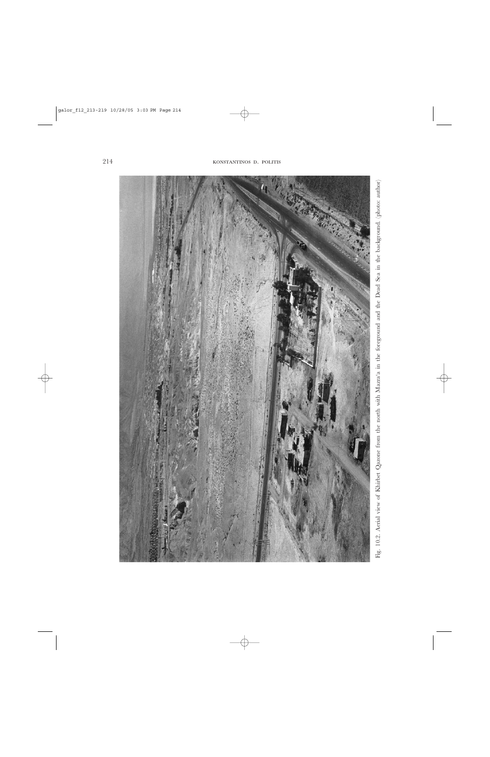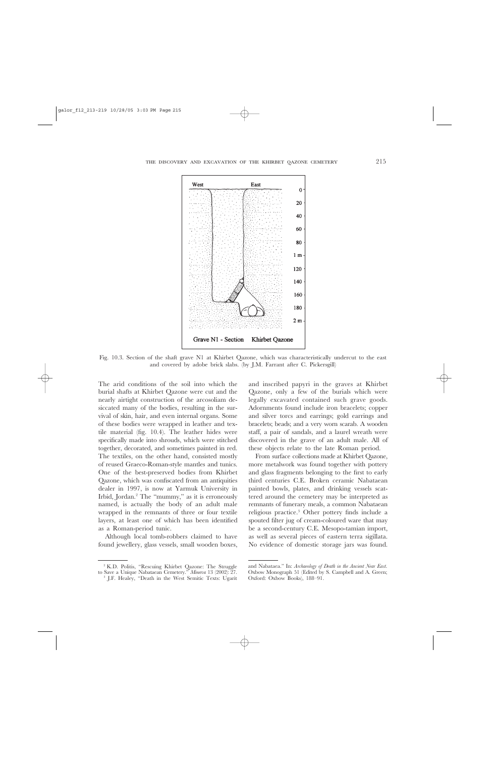

Fig. 10.3. Section of the shaft grave N1 at Khirbet Qazone, which was characteristically undercut to the east and covered by adobe brick slabs. (by J.M. Farrant after C. Pickersgill)

The arid conditions of the soil into which the burial shafts at Khirbet Qazone were cut and the nearly airtight construction of the arcosoliam desiccated many of the bodies, resulting in the survival of skin, hair, and even internal organs. Some of these bodies were wrapped in leather and textile material (fig. 10.4). The leather hides were specifically made into shrouds, which were stitched together, decorated, and sometimes painted in red. The textiles, on the other hand, consisted mostly of reused Graeco-Roman-style mantles and tunics. One of the best-preserved bodies from Khirbet Qazone, which was confiscated from an antiquities dealer in 1997, is now at Yarmuk University in Irbid, Jordan.2 The "mummy," as it is erroneously named, is actually the body of an adult male wrapped in the remnants of three or four textile layers, at least one of which has been identified as a Roman-period tunic.

Although local tomb-robbers claimed to have found jewellery, glass vessels, small wooden boxes,

<sup>2</sup> K.D. Politis, "Rescuing Khirbet Qazone: The Struggle to Save a Unique Nabataean Cemetery." *Minerva* 13 (2002): 27. and inscribed papyri in the graves at Khirbet Qazone, only a few of the burials which were legally excavated contained such grave goods. Adornments found include iron bracelets; copper and silver torcs and earrings; gold earrings and bracelets; beads; and a very worn scarab. A wooden staff, a pair of sandals, and a laurel wreath were discovered in the grave of an adult male. All of these objects relate to the late Roman period.

From surface collections made at Khirbet Qazone, more metalwork was found together with pottery and glass fragments belonging to the first to early third centuries C.E. Broken ceramic Nabataean painted bowls, plates, and drinking vessels scattered around the cemetery may be interpreted as remnants of funerary meals, a common Nabataean religious practice.3 Other pottery finds include a spouted filter jug of cream-coloured ware that may be a second-century C.E. Mesopo-tamian import, as well as several pieces of eastern terra sigillata. No evidence of domestic storage jars was found.

<sup>3</sup> J.F. Healey, "Death in the West Semitic Texts: Ugarit

and Nabataea." In: *Archaeology of Death in the Ancient Near East*. Oxbow Monograph 51 (Edited by S. Campbell and A. Green; Oxford: Oxbow Books), 188–91.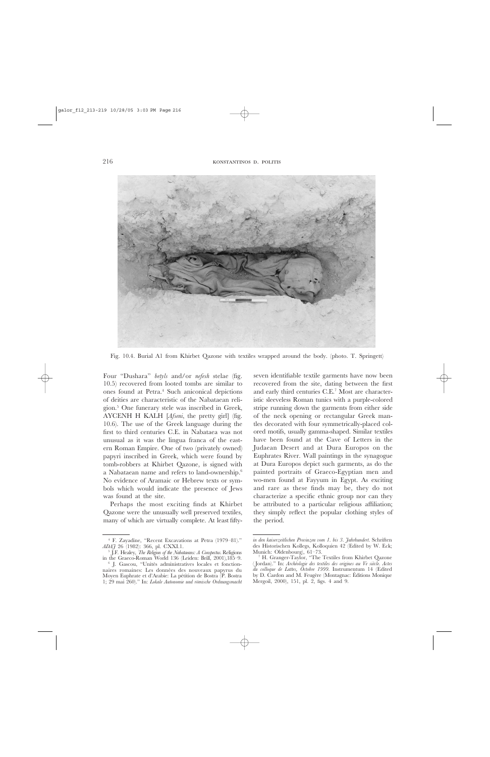

Fig. 10.4. Burial A1 from Khirbet Qazone with textiles wrapped around the body. (photo. T. Springett)

Four "Dushara" *betyls* and/or *nefesh* stelae (fig. 10.5) recovered from looted tombs are similar to ones found at Petra.<sup>4</sup> Such aniconical depictions of deities are characteristic of the Nabataean religion.5 One funerary stele was inscribed in Greek, AYCENH H KALH [*Afseni*, the pretty girl] (fig. 10.6). The use of the Greek language during the first to third centuries C.E. in Nabataea was not unusual as it was the lingua franca of the eastern Roman Empire. One of two (privately owned) papyri inscribed in Greek, which were found by tomb-robbers at Khirbet Qazone, is signed with a Nabataean name and refers to land-ownership.6 No evidence of Aramaic or Hebrew texts or symbols which would indicate the presence of Jews was found at the site.

Perhaps the most exciting finds at Khirbet Qazone were the unusually well preserved textiles, many of which are virtually complete. At least fifty-

seven identifiable textile garments have now been recovered from the site, dating between the first and early third centuries C.E.7 Most are characteristic sleeveless Roman tunics with a purple-colored stripe running down the garments from either side of the neck opening or rectangular Greek mantles decorated with four symmetrically-placed colored motifs, usually gamma-shaped. Similar textiles have been found at the Cave of Letters in the Judaean Desert and at Dura Europos on the Euphrates River. Wall paintings in the synagogue at Dura Europos depict such garments, as do the painted portraits of Graeco-Egyptian men and wo-men found at Fayyum in Egypt. As exciting and rare as these finds may be, they do not characterize a specific ethnic group nor can they be attributed to a particular religious affiliation; they simply reflect the popular clothing styles of the period.

<sup>4</sup> F. Zayadine, "Recent Excavations at Petra (1979–81)." *ADAJ* 26 (1982): 366, pl. CXXI.1.

<sup>5</sup> J.F. Healey, *The Religion of the Nabataeans: A Conspectus*. Religions in the Graeco-Roman World 136 (Leiden: Brill, 2001),185–9.

<sup>6</sup> J. Gascou, "Unités administratives locales et fonctionnaires romaines: Les données des nouveaux papyrus du Moyen Euphrate et d'Arabie: La pétition de Bostra (P. Bostra 1; 29 mai 260)." In: *Lokale Autonomie und römische Ordnungsmacht*

*in den kaiserzeitlichen Provinzen vom 1. bis 3. Jahrhundert*. Schriften des Historischen Kollegs, Kolloquien 42 (Edited by W. Eck; Munich: Oldenbourg), 61–73.

H. Granger-Taylor, "The Textiles from Khirbet Qazone ( Jordan)." In: *Archéologie des textiles des origines au Ve siècle. Actes du colloque de Lattes, Octobre 1999*. Instrumentum 14 (Edited by D. Cardon and M. Feugère (Montagnac: Éditions Monique Mergoil, 2000), 151, pl. 2, figs. 4 and 9.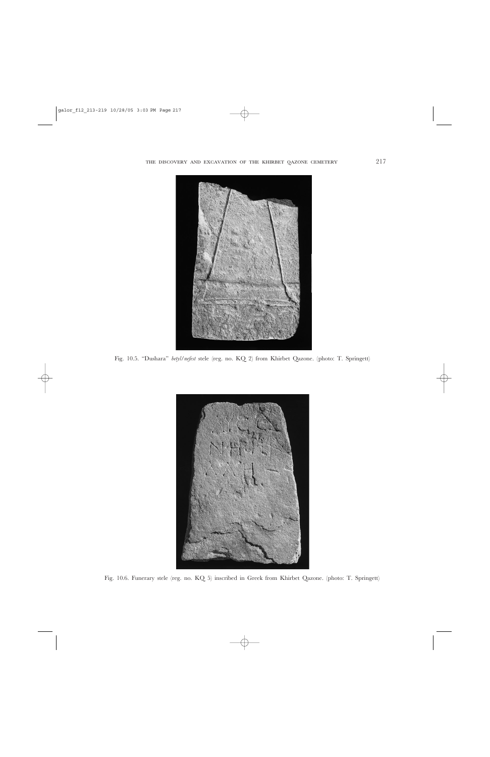

Fig. 10.5. "Dushara" *betyl/nefest* stele (reg. no. KQ 2) from Khirbet Qazone. (photo: T. Springett)



Fig. 10.6. Funerary stele (reg. no. KQ 5) inscribed in Greek from Khirbet Qazone. (photo: T. Springett)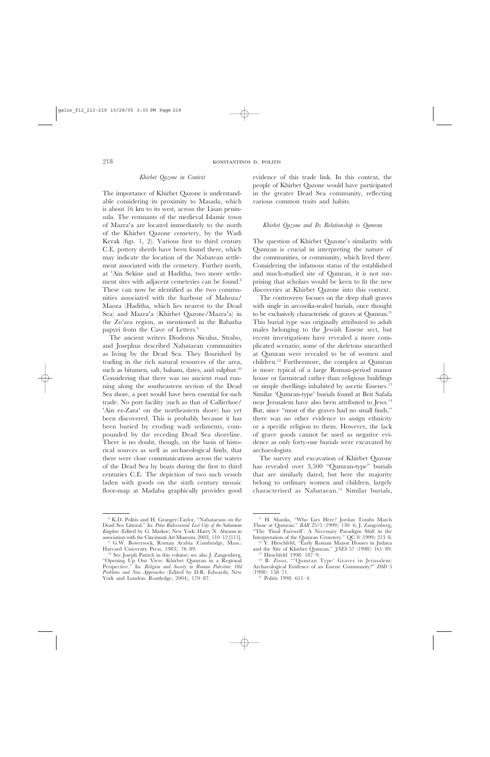## *Khirbet Qazone in Context*

The importance of Khirbet Qazone is understandable considering its proximity to Masada, which is about 16 km to its west, across the Lisan peninsula. The remnants of the medieval Islamic town of Mazra'a are located immediately to the north of the Khirbet Qazone cemetery, by the Wadi Kerak (figs. 1, 2). Various first to third century C.E. pottery sherds have been found there, which may indicate the location of the Nabatean settlement associated with the cemetery. Further north, at 'Ain Sekine and at Haditha, two more settlement sites with adjacent cemeteries can be found.<sup>8</sup> These can now be identified as the two communities associated with the harbour of Mahoza/ Maoza (Haditha, which lies nearest to the Dead Sea) and Mazra'a (Khirbet Qazone/Mazra'a) in the Zo'ara region, as mentioned in the Babatha papyri from the Cave of Letters.9

The ancient writers Diodorus Siculus, Strabo, and Josephus described Nabataean communities as living by the Dead Sea. They flourished by trading in the rich natural resources of the area, such as bitumen, salt, balsam, dates, and sulphur. $10$ Considering that there was no ancient road running along the southeastern section of the Dead Sea shore, a port would have been essential for such trade. No port facility (such as that of Callirrhoe/ 'Ain ez-Zara' on the northeastern shore) has yet been discovered. This is probably because it has been buried by eroding wadi sediments, compounded by the receding Dead Sea shoreline. There is no doubt, though, on the basis of historical sources as well as archaeological finds, that there were close communications across the waters of the Dead Sea by boats during the first to third centuries C.E. The depiction of two such vessels laden with goods on the sixth century mosaic floor-map at Madaba graphically provides good evidence of this trade link. In this context, the people of Khirbet Qazone would have participated in the greater Dead Sea community, reflecting various common traits and habits.

## *Khirbet Qazone and Its Relationship to Qumran*

The question of Khirbet Qazone's similarity with Qumran is crucial in interpreting the nature of the communities, or community, which lived there. Considering the infamous status of the established and much-studied site of Qumran, it is not surprising that scholars would be keen to fit the new discoveries at Khirbet Qazone into this context.

The controversy focuses on the deep shaft graves with single in arcosolia-sealed burials, once thought to be exclusively characteristic of graves at Qumran.<sup>11</sup> This burial type was originally attributed to adult males belonging to the Jewish Essene sect, but recent investigations have revealed a more complicated scenario; some of the skeletons unearthed at Qumran were revealed to be of women and children.12 Furthermore, the complex at Qumran is more typical of a large Roman-period manor house or farmstead rather than religious buildings or simple dwellings inhabited by ascetic Essenes.<sup>13</sup> Similar 'Qumran-type' burials found at Beit Safafa near Jerusalem have also been attributed to Jews.14 But, since "most of the graves had no small finds," there was no other evidence to assign ethnicity or a specific religion to them. However, the lack of grave goods cannot be used as negative evidence as only forty-one burials were excavated by archaeologists.

The survey and excavation of Khirbet Qazone has revealed over 3,500 "Qumran-type" burials that are similarly dated, but here the majority belong to ordinary women and children, largely characterised as Nabataean.15 Similar burials,

<sup>8</sup> K.D. Politis and H. Granger-Taylor, "Nabataeans on the Dead Sea Littoral." In: *Petra Rediscovered: Lost City of the Nabataean Kingdom* (Edited by G. Markoe; New York: Harry N. Abrams in association with the Cincinnati Art Museum, 2003), 110–12 [111].

<sup>9</sup> G.W. Bowersock, Roman Arabia (Cambridge, Mass.: Harvard University Press, 1983), 76–89.

<sup>&</sup>lt;sup>10</sup> See Joseph Patrich in this volume; see also J. Zangenberg, "Opening Up Our View: Khirbet Qumran in a Regional Perspective." In: *Religion and Society in Roman Palestine: Old Problems and New Approaches* (Edited by D.R. Edwards; New York and London: Routledge, 2004), 170–87.

<sup>11</sup> H. Shanks, "Who Lies Here? Jordan Tombs Match Those at Qumran." *BAR* 25/5 (1999): 130–6; J. Zangenberg, "The 'Final Farewell': A Necessary Paradigm Shift in the Interpretation of the Qumran Cemetery." QC 8 (1999): 213–8.

<sup>&</sup>lt;sup>12</sup> Y. Hirschfeld, "Early Roman Manor Houses in Judaea and the Site of Khirbet Qumran." *JNES* 57 (1998): 161–89.

<sup>13</sup> Hirschfeld 1998: 187–9.

<sup>14</sup> B. Zissu, "'Qumran Type' Graves in Jerusalem: Archaeological Evidence of an Essene Community?" *DSD* 5 (1998): 158–71.

<sup>15</sup> Politis 1998: 611–4.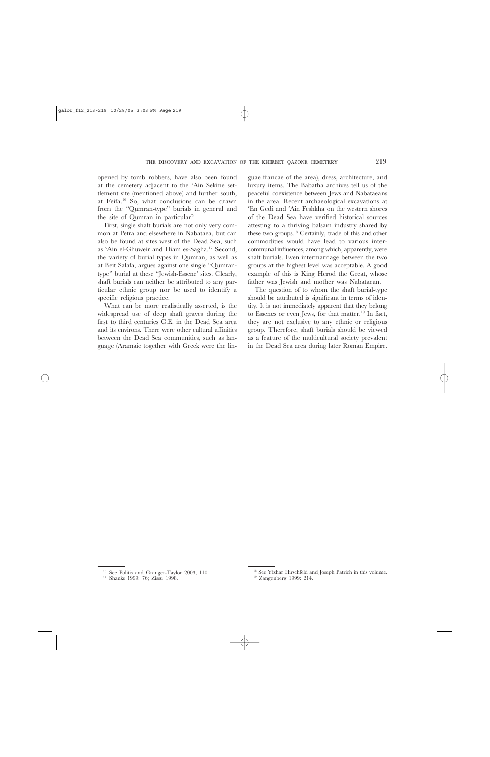opened by tomb robbers, have also been found at the cemetery adjacent to the 'Ain Sekine settlement site (mentioned above) and further south, at Feifa.16 So, what conclusions can be drawn from the "Qumran-type" burials in general and the site of Qumran in particular?

First, single shaft burials are not only very common at Petra and elsewhere in Nabataea, but can also be found at sites west of the Dead Sea, such as 'Ain el-Ghuweir and Hiam es-Sagha.17 Second, the variety of burial types in Qumran, as well as at Beit Safafa, argues against one single "Qumrantype" burial at these "Jewish-Essene' sites. Clearly, shaft burials can neither be attributed to any particular ethnic group nor be used to identify a specific religious practice.

What can be more realistically asserted, is the widespread use of deep shaft graves during the first to third centuries C.E. in the Dead Sea area and its environs. There were other cultural affinities between the Dead Sea communities, such as language (Aramaic together with Greek were the linguae francae of the area), dress, architecture, and luxury items. The Babatha archives tell us of the peaceful coexistence between Jews and Nabataeans in the area. Recent archaeological excavations at 'En Gedi and 'Ain Feshkha on the western shores of the Dead Sea have verified historical sources attesting to a thriving balsam industry shared by these two groups.18 Certainly, trade of this and other commodities would have lead to various intercommunal influences, among which, apparently, were shaft burials. Even intermarriage between the two groups at the highest level was acceptable. A good example of this is King Herod the Great, whose father was Jewish and mother was Nabataean.

The question of to whom the shaft burial-type should be attributed is significant in terms of identity. It is not immediately apparent that they belong to Essenes or even Jews, for that matter.<sup>19</sup> In fact, they are not exclusive to any ethnic or religious group. Therefore, shaft burials should be viewed as a feature of the multicultural society prevalent in the Dead Sea area during later Roman Empire.

<sup>&</sup>lt;sup>16</sup> See Politis and Granger-Taylor 2003, 110.

<sup>17</sup> Shanks 1999: 76; Zissu 1998.

<sup>&</sup>lt;sup>18</sup> See Yizhar Hirschfeld and Joseph Patrich in this volume. <sup>19</sup> Zangenberg 1999: 214.